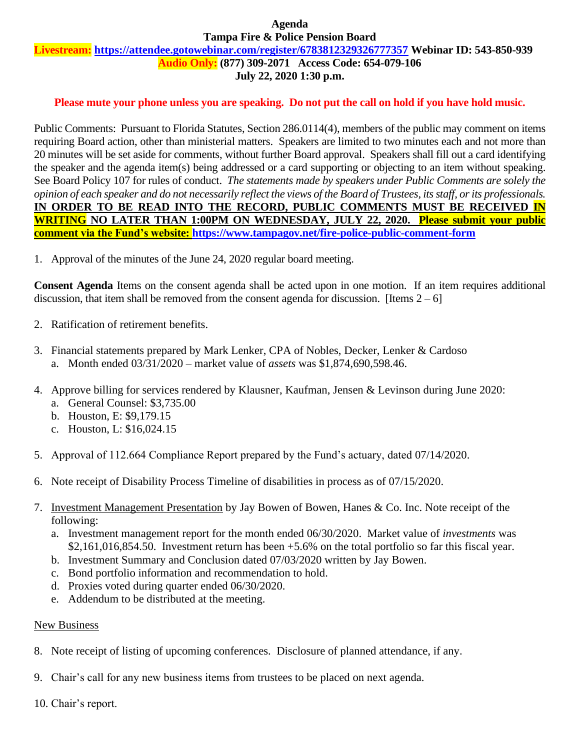### **Agenda Tampa Fire & Police Pension Board**

# **Livestream: <https://attendee.gotowebinar.com/register/6783812329326777357> Webinar ID: 543-850-939**

**Audio Only: (877) 309-2071 Access Code: 654-079-106**

## **July 22, 2020 1:30 p.m.**

## **Please mute your phone unless you are speaking. Do not put the call on hold if you have hold music.**

Public Comments: Pursuant to Florida Statutes, Section 286.0114(4), members of the public may comment on items requiring Board action, other than ministerial matters. Speakers are limited to two minutes each and not more than 20 minutes will be set aside for comments, without further Board approval. Speakers shall fill out a card identifying the speaker and the agenda item(s) being addressed or a card supporting or objecting to an item without speaking. See Board Policy 107 for rules of conduct. *The statements made by speakers under Public Comments are solely the opinion of each speaker and do not necessarily reflect the views of the Board of Trustees, its staff, or its professionals.* IN ORDER TO BE READ INTO THE RECORD, PUBLIC COMMENTS MUST BE RECEIVED **IN WRITING NO LATER THAN 1:00PM ON WEDNESDAY, JULY 22, 2020. Please submit your public comment via the Fund's website:<https://www.tampagov.net/fire-police-public-comment-form>**

1. Approval of the minutes of the June 24, 2020 regular board meeting.

**Consent Agenda** Items on the consent agenda shall be acted upon in one motion. If an item requires additional discussion, that item shall be removed from the consent agenda for discussion. [Items  $2 - 6$ ]

- 2. Ratification of retirement benefits.
- 3. Financial statements prepared by Mark Lenker, CPA of Nobles, Decker, Lenker & Cardoso a. Month ended 03/31/2020 – market value of *assets* was \$1,874,690,598.46.
- 4. Approve billing for services rendered by Klausner, Kaufman, Jensen & Levinson during June 2020:
	- a. General Counsel: \$3,735.00
	- b. Houston, E: \$9,179.15
	- c. Houston, L: \$16,024.15
- 5. Approval of 112.664 Compliance Report prepared by the Fund's actuary, dated 07/14/2020.
- 6. Note receipt of Disability Process Timeline of disabilities in process as of 07/15/2020.
- 7. Investment Management Presentation by Jay Bowen of Bowen, Hanes & Co. Inc. Note receipt of the following:
	- a. Investment management report for the month ended 06/30/2020. Market value of *investments* was \$2,161,016,854.50. Investment return has been +5.6% on the total portfolio so far this fiscal year.
	- b. Investment Summary and Conclusion dated 07/03/2020 written by Jay Bowen.
	- c. Bond portfolio information and recommendation to hold.
	- d. Proxies voted during quarter ended 06/30/2020.
	- e. Addendum to be distributed at the meeting.

## New Business

- 8. Note receipt of listing of upcoming conferences. Disclosure of planned attendance, if any.
- 9. Chair's call for any new business items from trustees to be placed on next agenda.
- 10. Chair's report.